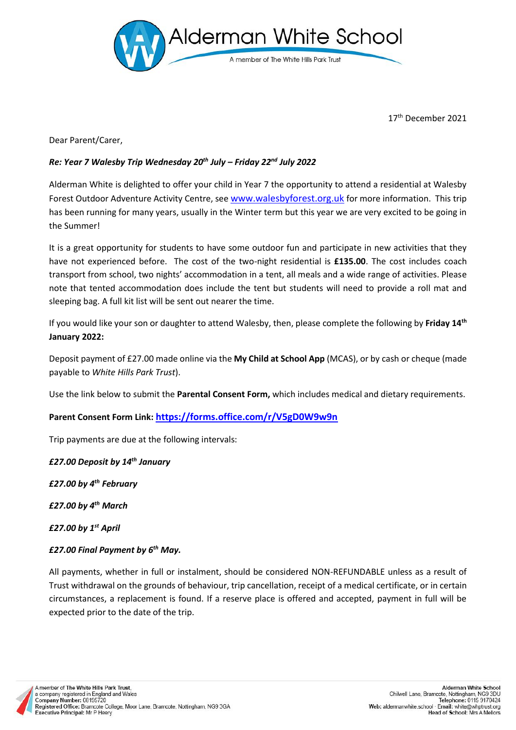

17 th December 2021

Dear Parent/Carer,

## *Re: Year 7 Walesby Trip Wednesday 20 th July – Friday 22 nd July 2022*

Alderman White is delighted to offer your child in Year 7 the opportunity to attend a residential at Walesby Forest Outdoor Adventure Activity Centre, see [www.walesbyforest.org.uk](http://www.walesbyforest.org.uk/) for more information. This trip has been running for many years, usually in the Winter term but this year we are very excited to be going in the Summer!

It is a great opportunity for students to have some outdoor fun and participate in new activities that they have not experienced before. The cost of the two-night residential is **£135.00**. The cost includes coach transport from school, two nights' accommodation in a tent, all meals and a wide range of activities. Please note that tented accommodation does include the tent but students will need to provide a roll mat and sleeping bag. A full kit list will be sent out nearer the time.

If you would like your son or daughter to attend Walesby, then, please complete the following by **Friday 14th January 2022:**

Deposit payment of £27.00 made online via the **My Child at School App** (MCAS), or by cash or cheque (made payable to *White Hills Park Trust*).

Use the link below to submit the **Parental Consent Form,** which includes medical and dietary requirements.

**Parent Consent Form Link: <https://forms.office.com/r/V5gD0W9w9n>**

Trip payments are due at the following intervals:

## *£27.00 Deposit by 14th January*

*£27.00 by 4th February*

*£27.00 by 4th March*

*£27.00 by 1st April*

## *£27.00 Final Payment by 6th May.*

All payments, whether in full or instalment, should be considered NON-REFUNDABLE unless as a result of Trust withdrawal on the grounds of behaviour, trip cancellation, receipt of a medical certificate, or in certain circumstances, a replacement is found. If a reserve place is offered and accepted, payment in full will be expected prior to the date of the trip.